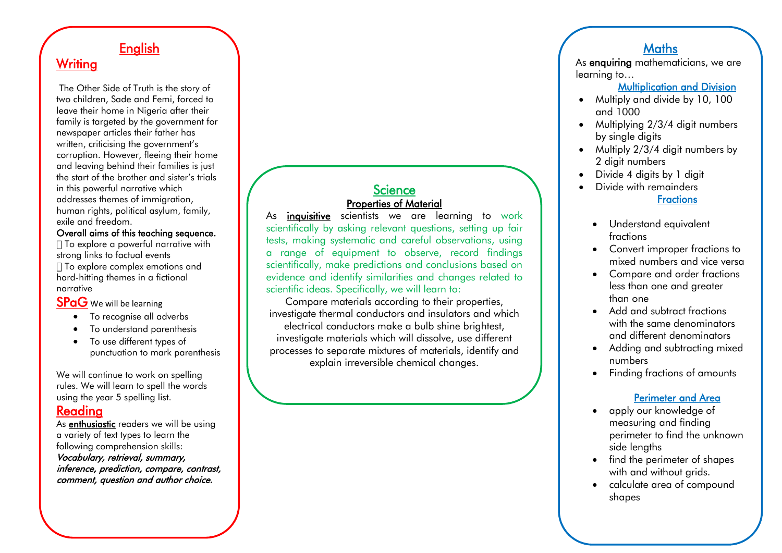# **English**

# **Writing**

The Other Side of Truth is the story of two children, Sade and Femi, forced to leave their home in Nigeria after their family is targeted by the government for newspaper articles their father has written, criticising the government's corruption. However, fleeing their home and leaving behind their families is just the start of the brother and sister's trials in this powerful narrative which addresses themes of immigration, human rights, political asylum, family, exile and freedom.

#### Overall aims of this teaching sequence.

To explore a powerful narrative with strong links to factual events To explore complex emotions and hard-hitting themes in a fictional narrative

### SPaG We will be learning

- To recognise all adverbs
- To understand parenthesis
- To use different types of punctuation to mark parenthesis

We will continue to work on spelling rules. We will learn to spell the words using the year 5 spelling list.

### Reading

As **enthusiastic** readers we will be using a variety of text types to learn the following comprehension skills:

Vocabulary, retrieval, summary, inference, prediction, compare, contrast, comment, question and author choice.

#### **Science** Properties of Material

As **inquisitive** scientists we are learning to work scientifically by asking relevant questions, setting up fair tests, making systematic and careful observations, using a range of equipment to observe, record findings scientifically, make predictions and conclusions based on evidence and identify similarities and changes related to scientific ideas. Specifically, we will learn to:

Compare materials according to their properties, investigate thermal conductors and insulators and which electrical conductors make a bulb shine brightest, investigate materials which will dissolve, use different processes to separate mixtures of materials, identify and explain irreversible chemical changes.

# **Maths**

As **enquiring** mathematicians, we are learning to…

#### Multiplication and Division

- Multiply and divide by 10, 100 and 1000
- Multiplying 2/3/4 digit numbers by single digits
- Multiply 2/3/4 digit numbers by 2 digit numbers
- Divide 4 digits by 1 digit
- Divide with remainders **Fractions** 
	- Understand equivalent fractions
	- Convert improper fractions to mixed numbers and vice versa
	- Compare and order fractions less than one and greater than one
	- Add and subtract fractions with the same denominators and different denominators
	- Adding and subtracting mixed numbers
	- Finding fractions of amounts

#### Perimeter and Area

- apply our knowledge of measuring and finding perimeter to find the unknown side lengths
- find the perimeter of shapes with and without grids.
- calculate area of compound shapes